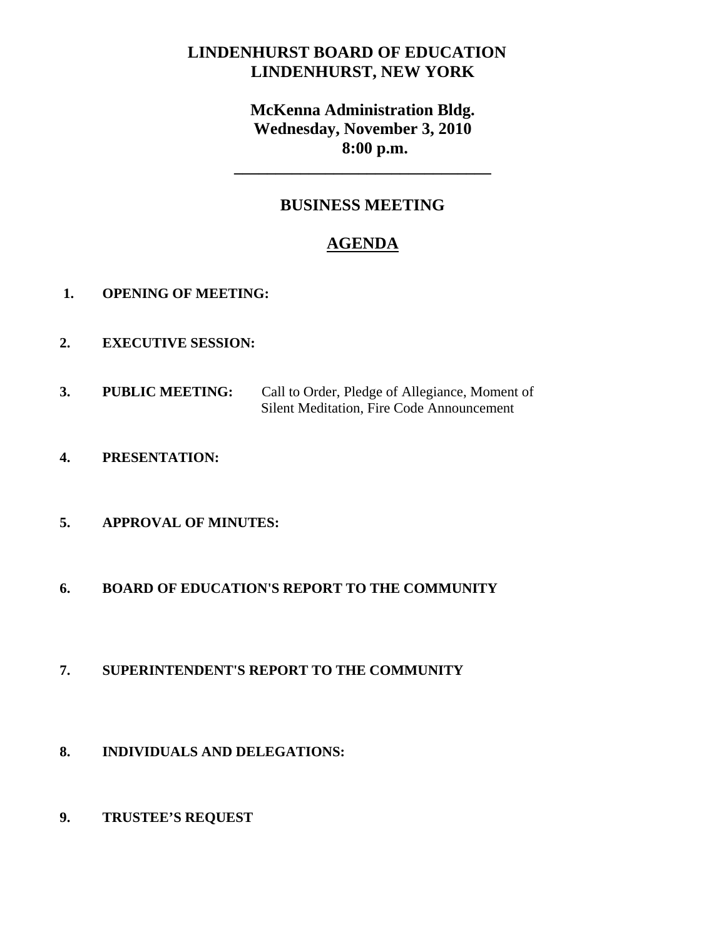# **LINDENHURST BOARD OF EDUCATION LINDENHURST, NEW YORK**

# **McKenna Administration Bldg. Wednesday, November 3, 2010 8:00 p.m.**

## **BUSINESS MEETING**

**\_\_\_\_\_\_\_\_\_\_\_\_\_\_\_\_\_\_\_\_\_\_\_\_\_\_\_\_\_\_\_** 

# **AGENDA**

- **1. OPENING OF MEETING:**
- **2. EXECUTIVE SESSION:**
- **3. PUBLIC MEETING:** Call to Order, Pledge of Allegiance, Moment of Silent Meditation, Fire Code Announcement
- **4. PRESENTATION:**

## **5. APPROVAL OF MINUTES:**

- **6. BOARD OF EDUCATION'S REPORT TO THE COMMUNITY**
- **7. SUPERINTENDENT'S REPORT TO THE COMMUNITY**
- **8. INDIVIDUALS AND DELEGATIONS:**
- **9. TRUSTEE'S REQUEST**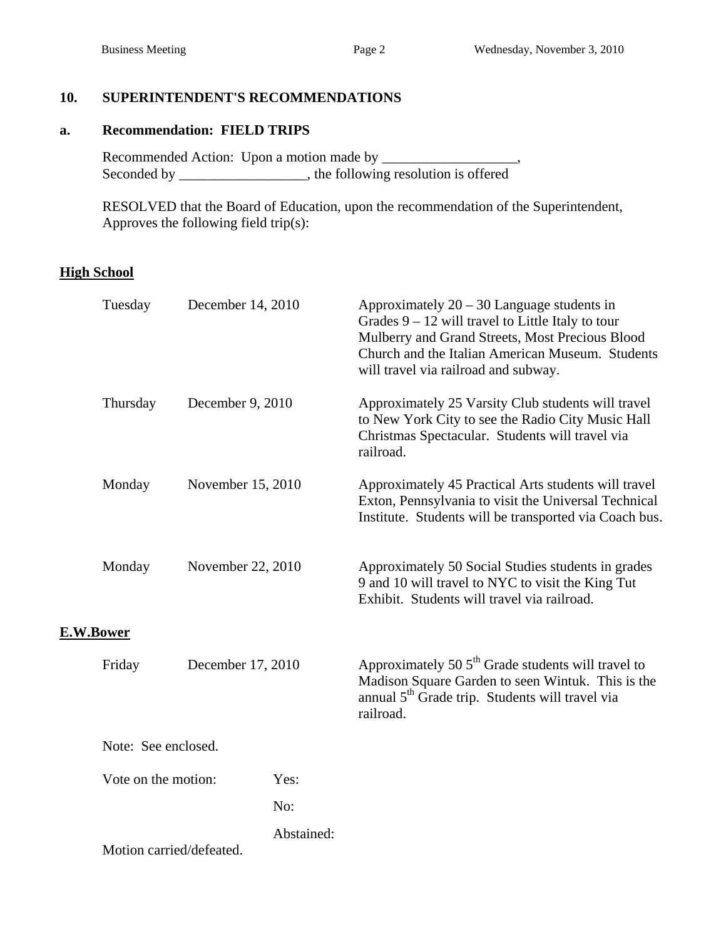## **10. SUPERINTENDENT'S RECOMMENDATIONS**

#### **a. Recommendation: FIELD TRIPS**

Recommended Action: Upon a motion made by \_\_\_\_\_\_\_\_\_\_\_\_\_\_\_\_\_\_, Seconded by \_\_\_\_\_\_\_\_\_\_\_\_\_\_\_\_, the following resolution is offered

 RESOLVED that the Board of Education, upon the recommendation of the Superintendent, Approves the following field trip(s):

## **High School**

|           | Tuesday                  | December 14, 2010 |            | Approximately $20 - 30$ Language students in<br>Grades $9 - 12$ will travel to Little Italy to tour<br>Mulberry and Grand Streets, Most Precious Blood<br>Church and the Italian American Museum. Students<br>will travel via railroad and subway. |
|-----------|--------------------------|-------------------|------------|----------------------------------------------------------------------------------------------------------------------------------------------------------------------------------------------------------------------------------------------------|
|           | Thursday                 | December 9, 2010  |            | Approximately 25 Varsity Club students will travel<br>to New York City to see the Radio City Music Hall<br>Christmas Spectacular. Students will travel via<br>railroad.                                                                            |
|           | Monday                   | November 15, 2010 |            | Approximately 45 Practical Arts students will travel<br>Exton, Pennsylvania to visit the Universal Technical<br>Institute. Students will be transported via Coach bus.                                                                             |
|           | Monday                   | November 22, 2010 |            | Approximately 50 Social Studies students in grades<br>9 and 10 will travel to NYC to visit the King Tut<br>Exhibit. Students will travel via railroad.                                                                                             |
| E.W.Bower |                          |                   |            |                                                                                                                                                                                                                                                    |
|           | Friday                   | December 17, 2010 |            | Approximately 50 $5th$ Grade students will travel to<br>Madison Square Garden to seen Wintuk. This is the<br>annual 5 <sup>th</sup> Grade trip. Students will travel via<br>railroad.                                                              |
|           | Note: See enclosed.      |                   |            |                                                                                                                                                                                                                                                    |
|           | Vote on the motion:      |                   | Yes:       |                                                                                                                                                                                                                                                    |
|           |                          |                   | No:        |                                                                                                                                                                                                                                                    |
|           | Motion carried/defeated. |                   | Abstained: |                                                                                                                                                                                                                                                    |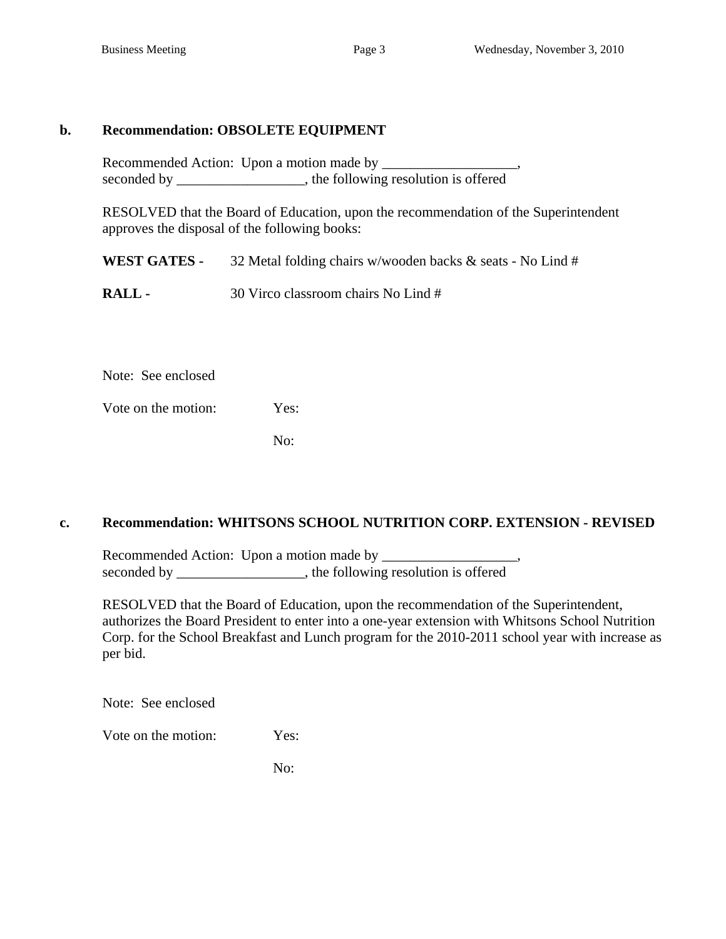### **b. Recommendation: OBSOLETE EQUIPMENT**

Recommended Action: Upon a motion made by \_\_\_\_\_\_\_\_\_\_\_\_\_\_\_\_\_\_\_, seconded by \_\_\_\_\_\_\_\_\_\_\_\_\_\_\_, the following resolution is offered

 RESOLVED that the Board of Education, upon the recommendation of the Superintendent approves the disposal of the following books:

 **WEST GATES -** 32 Metal folding chairs w/wooden backs & seats - No Lind #

**RALL -** 30 Virco classroom chairs No Lind #

Note: See enclosed

Vote on the motion: Yes:

No:

### **c. Recommendation: WHITSONS SCHOOL NUTRITION CORP. EXTENSION - REVISED**

Recommended Action: Upon a motion made by seconded by \_\_\_\_\_\_\_\_\_\_\_\_\_\_\_, the following resolution is offered

RESOLVED that the Board of Education, upon the recommendation of the Superintendent, authorizes the Board President to enter into a one-year extension with Whitsons School Nutrition Corp. for the School Breakfast and Lunch program for the 2010-2011 school year with increase as per bid.

Note: See enclosed

Vote on the motion: Yes:

No: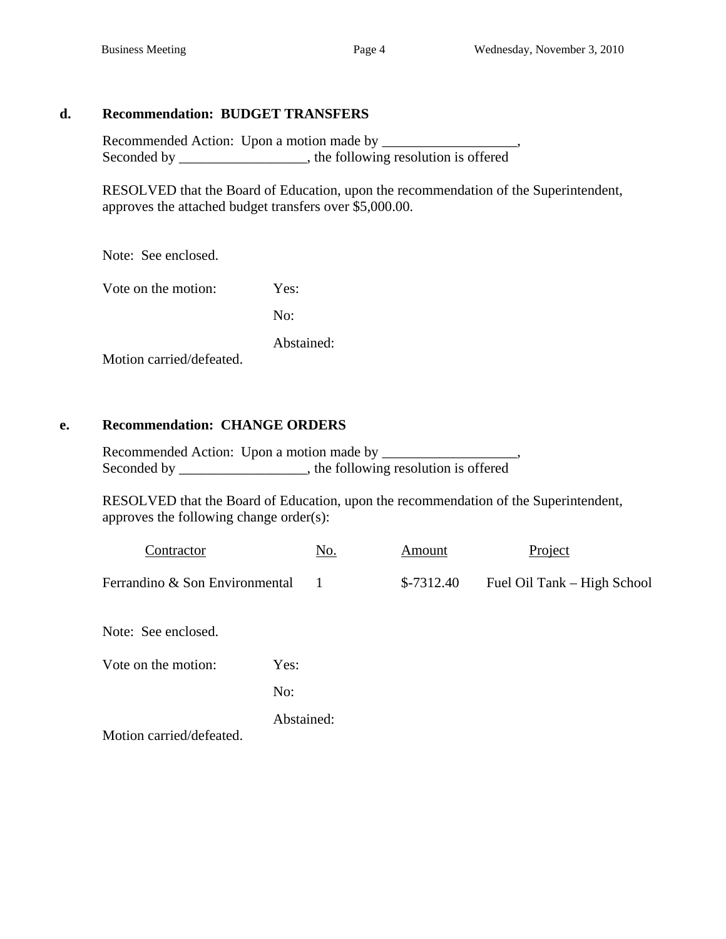## **d. Recommendation: BUDGET TRANSFERS**

 Recommended Action: Upon a motion made by \_\_\_\_\_\_\_\_\_\_\_\_\_\_\_\_\_\_\_, Seconded by \_\_\_\_\_\_\_\_\_\_\_\_\_\_\_, the following resolution is offered

 RESOLVED that the Board of Education, upon the recommendation of the Superintendent, approves the attached budget transfers over \$5,000.00.

Note: See enclosed.

Vote on the motion: Yes:

No:

Abstained:

Motion carried/defeated.

## **e. Recommendation: CHANGE ORDERS**

 Recommended Action: Upon a motion made by \_\_\_\_\_\_\_\_\_\_\_\_\_\_\_\_\_\_\_, Seconded by \_\_\_\_\_\_\_\_\_\_\_\_\_\_, the following resolution is offered

 RESOLVED that the Board of Education, upon the recommendation of the Superintendent, approves the following change order(s):

| Contractor                     |      | No. | Amount      | Project                     |
|--------------------------------|------|-----|-------------|-----------------------------|
| Ferrandino & Son Environmental |      |     | $$-7312.40$ | Fuel Oil Tank – High School |
| Note: See enclosed.            |      |     |             |                             |
| Vote on the motion:            | Yes: |     |             |                             |
|                                | No:  |     |             |                             |

Abstained:

Motion carried/defeated.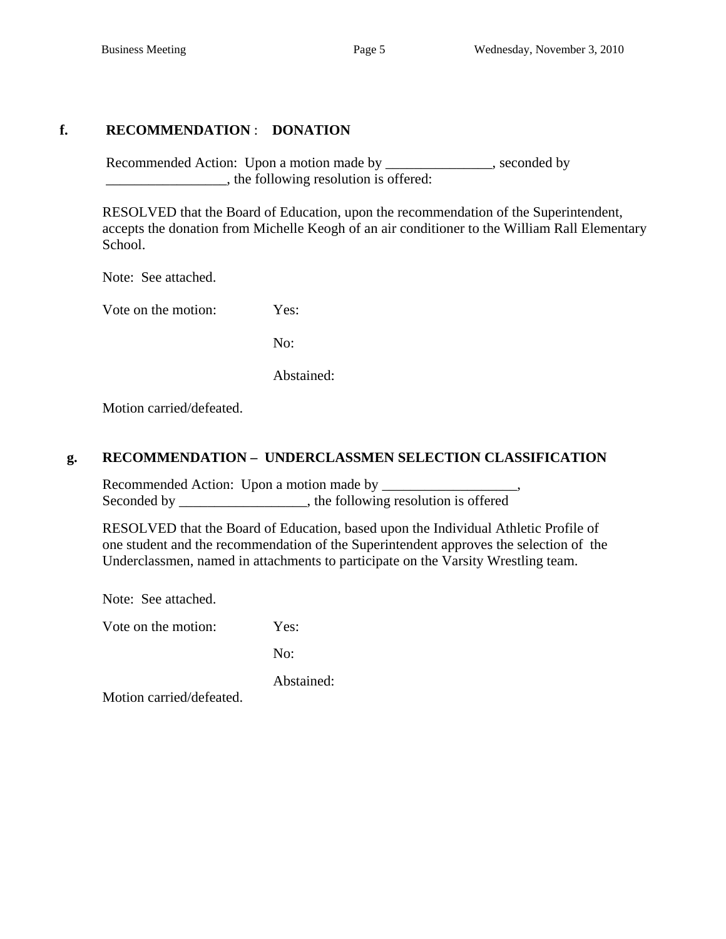## **f. RECOMMENDATION** : **DONATION**

Recommended Action: Upon a motion made by \_\_\_\_\_\_\_\_\_\_\_\_\_, seconded by \_\_\_\_\_\_\_\_\_\_\_\_\_\_\_\_\_, the following resolution is offered:

 RESOLVED that the Board of Education, upon the recommendation of the Superintendent, accepts the donation from Michelle Keogh of an air conditioner to the William Rall Elementary School.

Note: See attached.

Vote on the motion: Yes:

No:

Abstained:

Motion carried/defeated.

### **g. RECOMMENDATION – UNDERCLASSMEN SELECTION CLASSIFICATION**

 Recommended Action: Upon a motion made by \_\_\_\_\_\_\_\_\_\_\_\_\_\_\_\_\_\_\_, Seconded by \_\_\_\_\_\_\_\_\_\_\_\_\_\_\_\_, the following resolution is offered

RESOLVED that the Board of Education, based upon the Individual Athletic Profile of one student and the recommendation of the Superintendent approves the selection of the Underclassmen, named in attachments to participate on the Varsity Wrestling team.

Note: See attached.

Vote on the motion: Yes:

No:

Abstained:

Motion carried/defeated.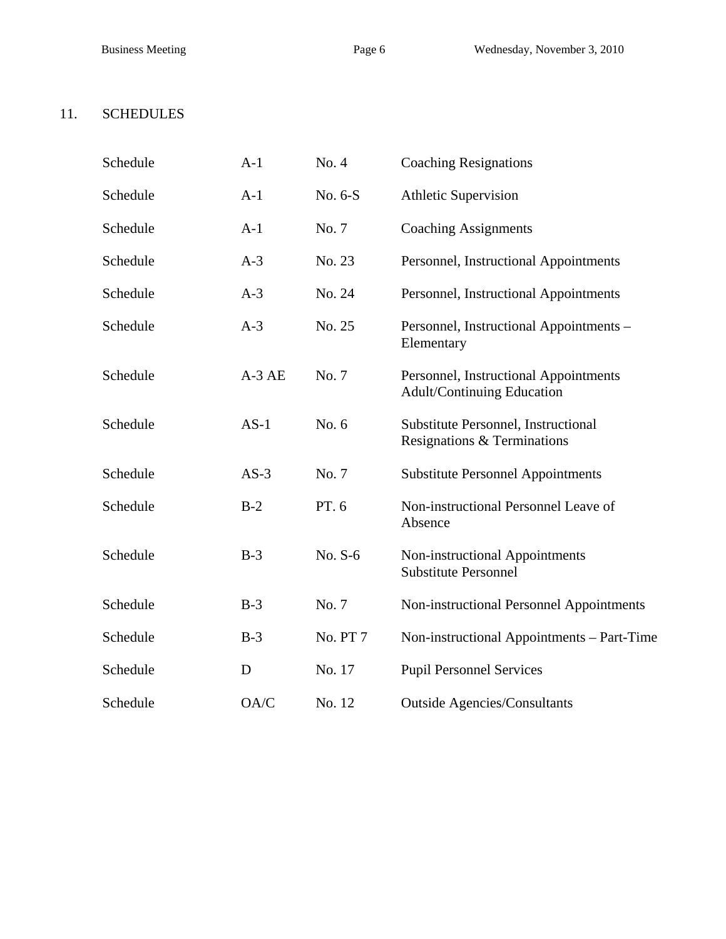## 11. SCHEDULES

| Schedule | $A-1$   | No. 4           | <b>Coaching Resignations</b>                                               |
|----------|---------|-----------------|----------------------------------------------------------------------------|
| Schedule | $A-1$   | No. 6-S         | <b>Athletic Supervision</b>                                                |
| Schedule | $A-1$   | No. 7           | <b>Coaching Assignments</b>                                                |
| Schedule | $A-3$   | No. 23          | Personnel, Instructional Appointments                                      |
| Schedule | $A-3$   | No. 24          | Personnel, Instructional Appointments                                      |
| Schedule | $A-3$   | No. 25          | Personnel, Instructional Appointments -<br>Elementary                      |
| Schedule | $A-3AE$ | No. 7           | Personnel, Instructional Appointments<br><b>Adult/Continuing Education</b> |
| Schedule | $AS-1$  | No. 6           | Substitute Personnel, Instructional<br>Resignations & Terminations         |
| Schedule | $AS-3$  | No. 7           | <b>Substitute Personnel Appointments</b>                                   |
| Schedule | $B-2$   | PT. 6           | Non-instructional Personnel Leave of<br>Absence                            |
| Schedule | $B-3$   | No. S-6         | Non-instructional Appointments<br><b>Substitute Personnel</b>              |
| Schedule | $B-3$   | No. 7           | Non-instructional Personnel Appointments                                   |
| Schedule | $B-3$   | <b>No. PT 7</b> | Non-instructional Appointments - Part-Time                                 |
| Schedule | D       | No. 17          | <b>Pupil Personnel Services</b>                                            |
| Schedule | OA/C    | No. 12          | <b>Outside Agencies/Consultants</b>                                        |